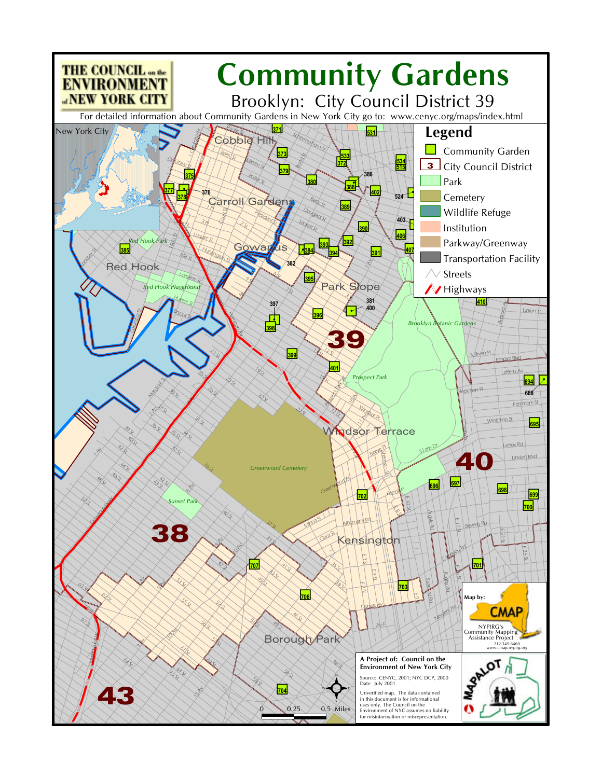